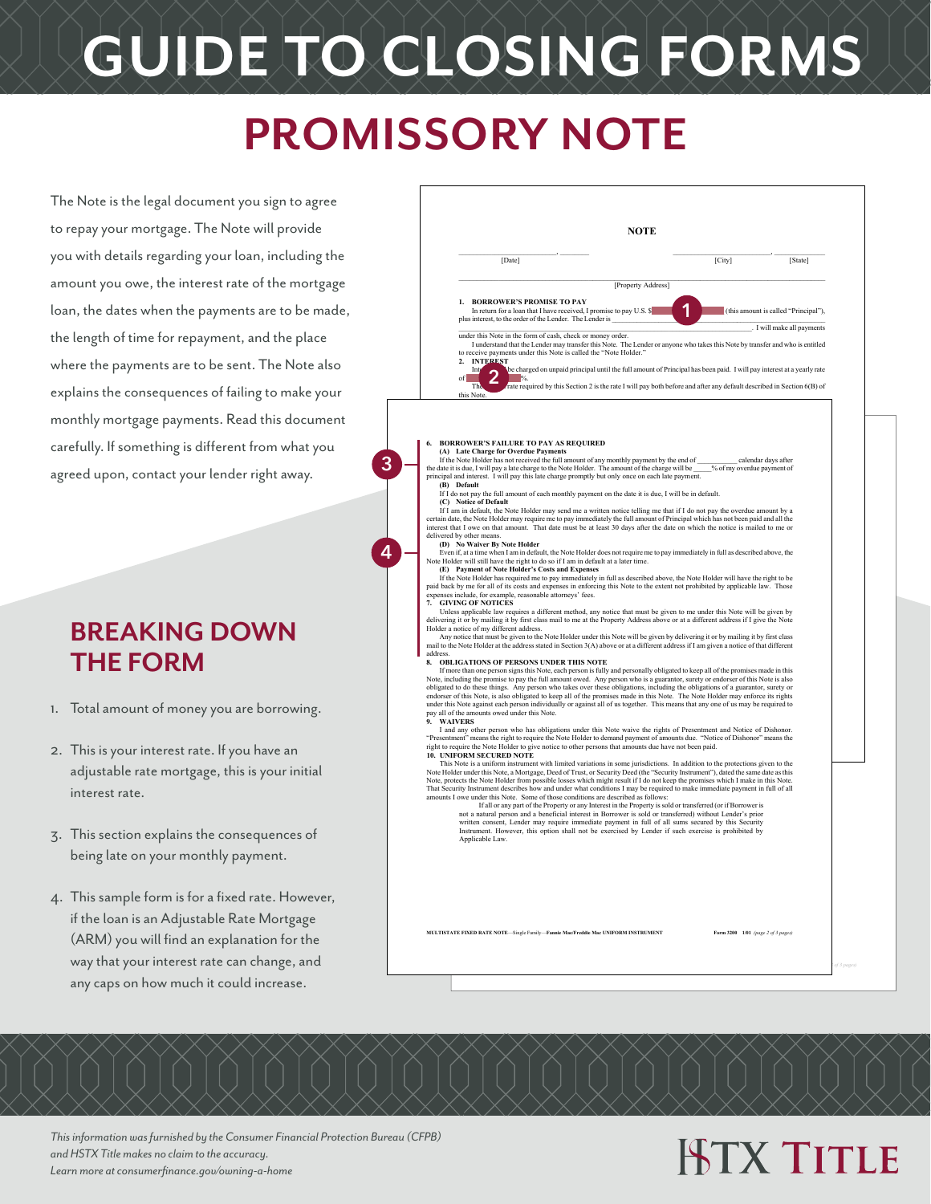# **GUIDE TO CLOSING FORMS**

### **PROMISSORY NOTE**

**3**

**4**

The Note is the legal document you sign to agree to repay your mortgage. The Note will provide you with details regarding your loan, including the amount you owe, the interest rate of the mortgage loan, the dates when the payments are to be made, the length of time for repayment, and the place where the payments are to be sent. The Note also explains the consequences of failing to make your monthly mortgage payments. Read this document carefully. If something is different from what you agreed upon, contact your lender right away.

#### **BREAKING DOWN THE FORM**

- 1. Total amount of money you are borrowing.
- 2. This is your interest rate. If you have an adjustable rate mortgage, this is your initial interest rate.
- 3. This section explains the consequences of being late on your monthly payment.
- 4. This sample form is for a fixed rate. However, if the loan is an Adjustable Rate Mortgage (ARM) you will find an explanation for the way that your interest rate can change, and any caps on how much it could increase.

|                      | NOTE                                                                                                                                                                                                                                                                                                                                                                                                                                                                                                                                                                                                                                                                                                                                                                                                                                                                                                                                                                                                                                                                                  |  |
|----------------------|---------------------------------------------------------------------------------------------------------------------------------------------------------------------------------------------------------------------------------------------------------------------------------------------------------------------------------------------------------------------------------------------------------------------------------------------------------------------------------------------------------------------------------------------------------------------------------------------------------------------------------------------------------------------------------------------------------------------------------------------------------------------------------------------------------------------------------------------------------------------------------------------------------------------------------------------------------------------------------------------------------------------------------------------------------------------------------------|--|
|                      | [Date]<br>[City]<br>[State]                                                                                                                                                                                                                                                                                                                                                                                                                                                                                                                                                                                                                                                                                                                                                                                                                                                                                                                                                                                                                                                           |  |
|                      | [Property Address]                                                                                                                                                                                                                                                                                                                                                                                                                                                                                                                                                                                                                                                                                                                                                                                                                                                                                                                                                                                                                                                                    |  |
|                      | 1. BORROWER'S PROMISE TO PAY<br>In return for a loan that I have received, I promise to pay U.S. \$<br>(this amount is called "Principal"),<br>plus interest, to the order of the Lender. The Lender is                                                                                                                                                                                                                                                                                                                                                                                                                                                                                                                                                                                                                                                                                                                                                                                                                                                                               |  |
|                      | . I will make all payments<br>under this Note in the form of cash, check or money order.<br>I understand that the Lender may transfer this Note. The Lender or anyone who takes this Note by transfer and who is entitled<br>to receive payments under this Note is called the "Note Holder."<br><b>INTEREST</b><br>2.<br>be charged on unpaid principal until the full amount of Principal has been paid. I will pay interest at a yearly rate<br>Int                                                                                                                                                                                                                                                                                                                                                                                                                                                                                                                                                                                                                                |  |
|                      | rate required by this Section 2 is the rate I will pay both before and after any default described in Section 6(B) of<br>The<br>this Note.                                                                                                                                                                                                                                                                                                                                                                                                                                                                                                                                                                                                                                                                                                                                                                                                                                                                                                                                            |  |
|                      | <b>6. BORROWER'S FAILURE TO PAY AS REQUIRED</b><br>(A) Late Charge for Overdue Payments<br>If the Note Holder has not received the full amount of any monthly payment by the end of<br>calendar days after<br>the date it is due, I will pay a late charge to the Note Holder. The amount of the charge will be<br>% of my overdue payment of<br>principal and interest. I will pay this late charge promptly but only once on each late payment.<br>(B) Default<br>If I do not pay the full amount of each monthly payment on the date it is due, I will be in default.<br>(C) Notice of Default<br>If I am in default, the Note Holder may send me a written notice telling me that if I do not pay the overdue amount by a                                                                                                                                                                                                                                                                                                                                                         |  |
|                      | certain date, the Note Holder may require me to pay immediately the full amount of Principal which has not been paid and all the<br>interest that I owe on that amount. That date must be at least 30 days after the date on which the notice is mailed to me or<br>delivered by other means.<br>(D) No Waiver By Note Holder                                                                                                                                                                                                                                                                                                                                                                                                                                                                                                                                                                                                                                                                                                                                                         |  |
|                      | Even if, at a time when I am in default, the Note Holder does not require me to pay immediately in full as described above, the<br>Note Holder will still have the right to do so if I am in default at a later time.<br>(E) Payment of Note Holder's Costs and Expenses<br>If the Note Holder has required me to pay immediately in full as described above, the Note Holder will have the right to be<br>paid back by me for all of its costs and expenses in enforcing this Note to the extent not prohibited by applicable law. Those<br>expenses include, for example, reasonable attorneys' fees.<br>7. GIVING OF NOTICES                                                                                                                                                                                                                                                                                                                                                                                                                                                       |  |
|                      | Unless applicable law requires a different method, any notice that must be given to me under this Note will be given by<br>delivering it or by mailing it by first class mail to me at the Property Address above or at a different address if I give the Note<br>Holder a notice of my different address.<br>Any notice that must be given to the Note Holder under this Note will be given by delivering it or by mailing it by first class<br>mail to the Note Holder at the address stated in Section 3(A) above or at a different address if I am given a notice of that different                                                                                                                                                                                                                                                                                                                                                                                                                                                                                               |  |
| address.<br>8.<br>9. | OBLIGATIONS OF PERSONS UNDER THIS NOTE<br>If more than one person signs this Note, each person is fully and personally obligated to keep all of the promises made in this<br>Note, including the promise to pay the full amount owed. Any person who is a guarantor, surety or endorser of this Note is also<br>obligated to do these things. Any person who takes over these obligations, including the obligations of a guarantor, surety or<br>endorser of this Note, is also obligated to keep all of the promises made in this Note. The Note Holder may enforce its rights<br>under this Note against each person individually or against all of us together. This means that any one of us may be required to<br>pay all of the amounts owed under this Note.<br><b>WAIVERS</b>                                                                                                                                                                                                                                                                                                |  |
|                      | I and any other person who has obligations under this Note waive the rights of Presentment and Notice of Dishonor.<br>"Presentment" means the right to require the Note Holder to demand payment of amounts due. "Notice of Dishonor" means the<br>right to require the Note Holder to give notice to other persons that amounts due have not been paid.<br>10. UNIFORM SECURED NOTE                                                                                                                                                                                                                                                                                                                                                                                                                                                                                                                                                                                                                                                                                                  |  |
|                      | This Note is a uniform instrument with limited variations in some jurisdictions. In addition to the protections given to the<br>Note Holder under this Note, a Mortgage, Deed of Trust, or Security Deed (the "Security Instrument"), dated the same date as this<br>Note, protects the Note Holder from possible losses which might result if I do not keep the promises which I make in this Note.<br>That Security Instrument describes how and under what conditions I may be required to make immediate payment in full of all<br>amounts I owe under this Note. Some of those conditions are described as follows:<br>If all or any part of the Property or any Interest in the Property is sold or transferred (or if Borrower is<br>not a natural person and a beneficial interest in Borrower is sold or transferred) without Lender's prior<br>written consent, Lender may require immediate payment in full of all sums secured by this Security<br>Instrument. However, this option shall not be exercised by Lender if such exercise is prohibited by<br>Applicable Law. |  |
|                      | MULTISTATE FIXED RATE NOTE-Single Family-Fannie Mae/Freddie Mac UNIFORM INSTRUMENT<br>Form 3200 1/01 (page 2 of 3 pages)                                                                                                                                                                                                                                                                                                                                                                                                                                                                                                                                                                                                                                                                                                                                                                                                                                                                                                                                                              |  |

*This information was furnished by the Consumer Financial Protection Bureau (CFPB) and HSTX Title makes no claim to the accuracy. Learn more at consumerfinance.gov/owning-a-home*

### **ISTX TITLE**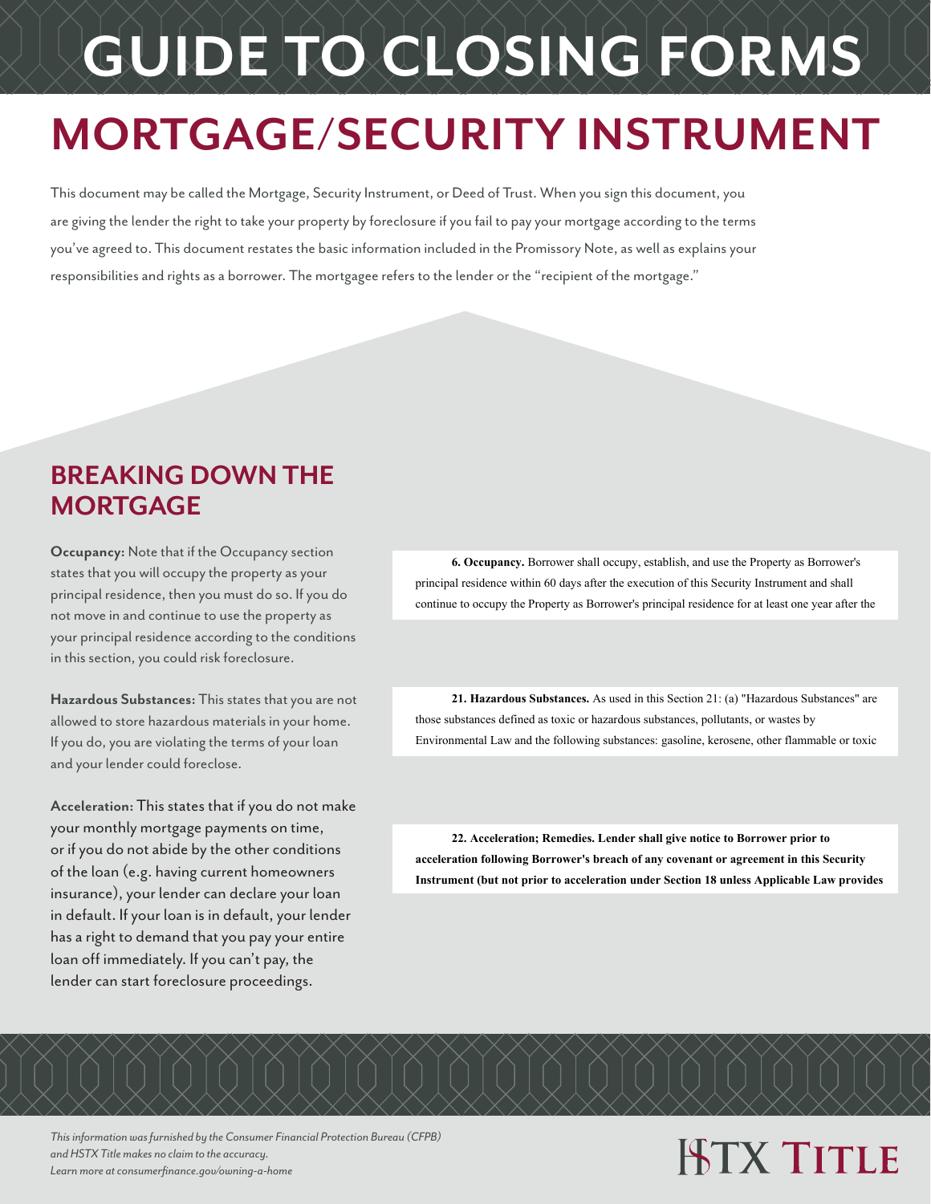# **GUIDE TO CLOSING FORMS**

### **MORTGAGE/SECURITY INSTRUMENT**

This document may be called the Mortgage, Security Instrument, or Deed of Trust. When you sign this document, you are giving the lender the right to take your property by foreclosure if you fail to pay your mortgage according to the terms you've agreed to. This document restates the basic information included in the Promissory Note, as well as explains your responsibilities and rights as a borrower. The mortgagee refers to the lender or the "recipient of the mortgage."

#### **BREAKING DOWN THE MORTGAGE**

**Occupancy:** Note that if the Occupancy section states that you will occupy the property as your principal residence, then you must do so. If you do not move in and continue to use the property as your principal residence according to the conditions in this section, you could risk foreclosure.

**Hazardous Substances:** This states that you are not allowed to store hazardous materials in your home. If you do, you are violating the terms of your loan and your lender could foreclose.

**Acceleration:** This states that if you do not make your monthly mortgage payments on time, or if you do not abide by the other conditions of the loan (e.g. having current homeowners insurance), your lender can declare your loan in default. If your loan is in default, your lender has a right to demand that you pay your entire loan off immediately. If you can't pay, the lender can start foreclosure proceedings.

**6. Occupancy.** Borrower shall occupy, establish, and use the Property as Borrower's principal residence within 60 days after the execution of this Security Instrument and shall -<br>continue to occupy the Property as Borrower's principal residence for at least one year after the reasonable for purposes of this paragraph. The notice of acceleration and opportunity to cure **b. Occupancy.** Borrower shall occupy, establish, and use the Property as Borrower principal residence within 60 days after the execution of this Security instrument and shall continue to occupy the Property as Borrower's principal residence for at least one year att

21. Hazardous Substances. As used in this Section 21: (a) "Hazardous Substances" are those substances defined as toxic or hazardous substances, pollutants, or wastes by Environmental Law and the following substances: gasoline, kerosene, other flammable or toxic

action, or removal action, as defined in Environmental Law; and (d) an "Environmental **22. Acceleration; Remedies. Lender shall give notice to Borrower prior to**  acceleration following Borrower's breach of any covenant or agreement in this Security Instrument (but not prior to acceleration under Section 18 unless Applicable Law provides

*This information was furnished by the Consumer Financial Protection Bureau (CFPB) and HSTX Title makes no claim to the accuracy. Learn more at consumerfinance.gov/owning-a-home*

## **ISTX TITLE**